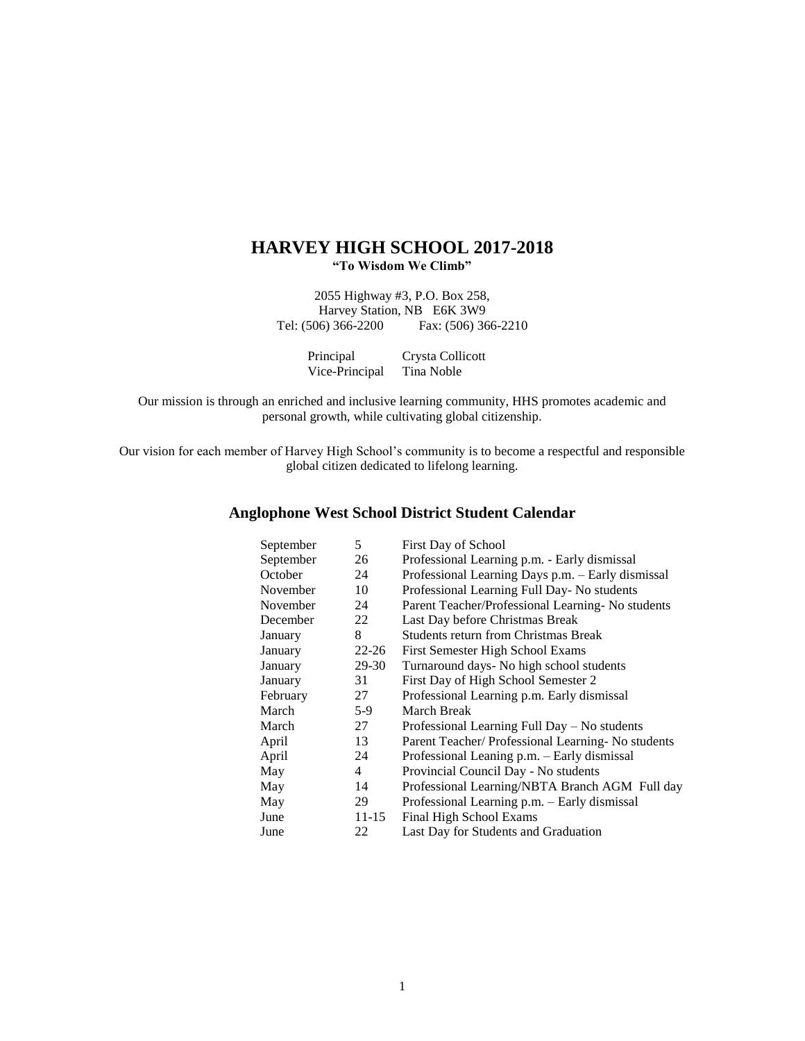# **HARVEY HIGH SCHOOL 2017-2018 "To Wisdom We Climb"**

2055 Highway #3, P.O. Box 258, Harvey Station, NB E6K 3W9<br>Tel: (506) 366-2200 Fax: (506) 36 Fax: (506) 366-2210

| Principal      | Crysta Collicott |
|----------------|------------------|
| Vice-Principal | Tina Noble       |

Our mission is through an enriched and inclusive learning community, HHS promotes academic and personal growth, while cultivating global citizenship.

Our vision for each member of Harvey High School's community is to become a respectful and responsible global citizen dedicated to lifelong learning.

# **Anglophone West School District Student Calendar**

| September | 5              | First Day of School                                |
|-----------|----------------|----------------------------------------------------|
| September | 26             | Professional Learning p.m. - Early dismissal       |
| October   | 24             | Professional Learning Days p.m. - Early dismissal  |
| November  | 10             | Professional Learning Full Day- No students        |
| November  | 24             | Parent Teacher/Professional Learning-No students   |
| December  | 22             | Last Day before Christmas Break                    |
| January   | 8              | <b>Students return from Christmas Break</b>        |
| January   | $22 - 26$      | First Semester High School Exams                   |
| January   | 29-30          | Turnaround days- No high school students           |
| January   | 31             | First Day of High School Semester 2                |
| February  | 27             | Professional Learning p.m. Early dismissal         |
| March     | $5-9$          | March Break                                        |
| March     | 27             | Professional Learning Full Day - No students       |
| April     | 13             | Parent Teacher/ Professional Learning- No students |
| April     | 24             | Professional Leaning p.m. – Early dismissal        |
| May       | $\overline{4}$ | Provincial Council Day - No students               |
| May       | 14             | Professional Learning/NBTA Branch AGM Full day     |
| May       | 29             | Professional Learning p.m. - Early dismissal       |
| June      | 11-15          | Final High School Exams                            |
| June      | 22             | Last Day for Students and Graduation               |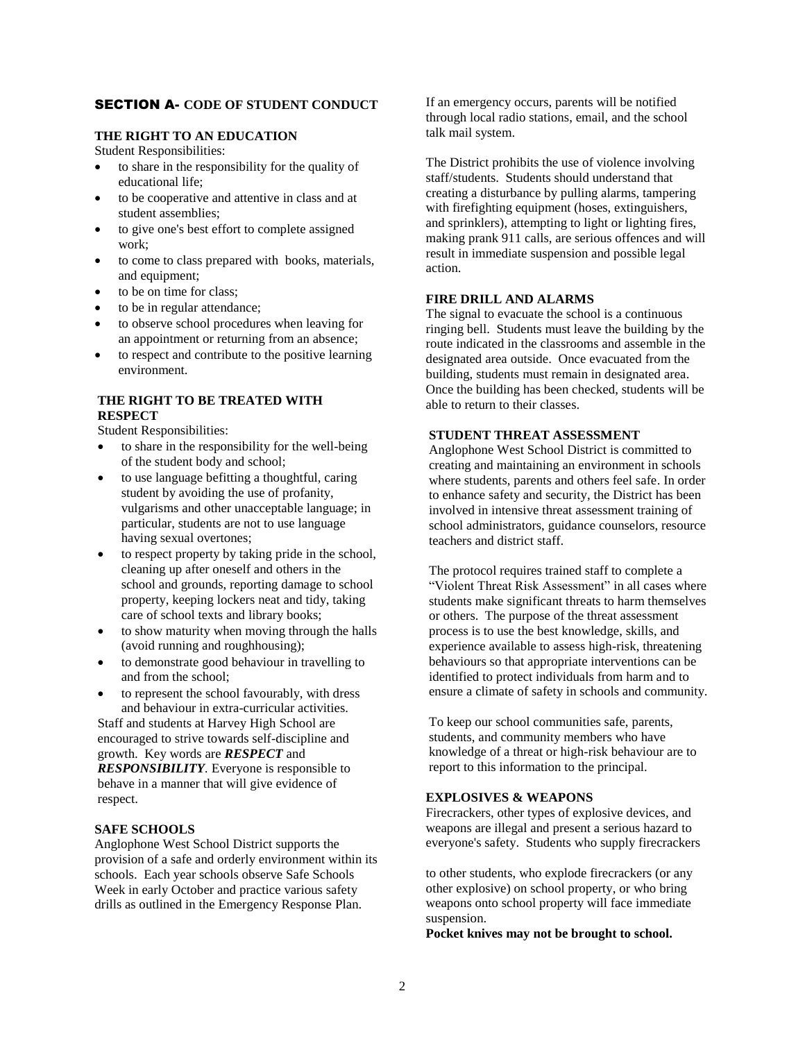# SECTION A- **CODE OF STUDENT CONDUCT**

#### **THE RIGHT TO AN EDUCATION**

Student Responsibilities:

- to share in the responsibility for the quality of educational life;
- to be cooperative and attentive in class and at student assemblies;
- to give one's best effort to complete assigned work;
- to come to class prepared with books, materials, and equipment;
- to be on time for class;
- to be in regular attendance;
- to observe school procedures when leaving for an appointment or returning from an absence;
- to respect and contribute to the positive learning environment.

# **THE RIGHT TO BE TREATED WITH RESPECT**

Student Responsibilities:

- to share in the responsibility for the well-being of the student body and school;
- to use language befitting a thoughtful, caring student by avoiding the use of profanity, vulgarisms and other unacceptable language; in particular, students are not to use language having sexual overtones;
- to respect property by taking pride in the school, cleaning up after oneself and others in the school and grounds, reporting damage to school property, keeping lockers neat and tidy, taking care of school texts and library books;
- to show maturity when moving through the halls (avoid running and roughhousing);
- to demonstrate good behaviour in travelling to and from the school;
- to represent the school favourably, with dress and behaviour in extra-curricular activities.

Staff and students at Harvey High School are encouraged to strive towards self-discipline and growth. Key words are *RESPECT* and *RESPONSIBILITY.* Everyone is responsible to behave in a manner that will give evidence of respect.

#### **SAFE SCHOOLS**

Anglophone West School District supports the provision of a safe and orderly environment within its schools. Each year schools observe Safe Schools Week in early October and practice various safety drills as outlined in the Emergency Response Plan.

If an emergency occurs, parents will be notified through local radio stations, email, and the school talk mail system.

The District prohibits the use of violence involving staff/students. Students should understand that creating a disturbance by pulling alarms, tampering with firefighting equipment (hoses, extinguishers, and sprinklers), attempting to light or lighting fires, making prank 911 calls, are serious offences and will result in immediate suspension and possible legal action.

### **FIRE DRILL AND ALARMS**

The signal to evacuate the school is a continuous ringing bell. Students must leave the building by the route indicated in the classrooms and assemble in the designated area outside. Once evacuated from the building, students must remain in designated area. Once the building has been checked, students will be able to return to their classes.

# **STUDENT THREAT ASSESSMENT**

Anglophone West School District is committed to creating and maintaining an environment in schools where students, parents and others feel safe. In order to enhance safety and security, the District has been involved in intensive threat assessment training of school administrators, guidance counselors, resource teachers and district staff.

The protocol requires trained staff to complete a "Violent Threat Risk Assessment" in all cases where students make significant threats to harm themselves or others. The purpose of the threat assessment process is to use the best knowledge, skills, and experience available to assess high-risk, threatening behaviours so that appropriate interventions can be identified to protect individuals from harm and to ensure a climate of safety in schools and community.

To keep our school communities safe, parents, students, and community members who have knowledge of a threat or high-risk behaviour are to report to this information to the principal.

### **EXPLOSIVES & WEAPONS**

Firecrackers, other types of explosive devices, and weapons are illegal and present a serious hazard to everyone's safety. Students who supply firecrackers

to other students, who explode firecrackers (or any other explosive) on school property, or who bring weapons onto school property will face immediate suspension.

**Pocket knives may not be brought to school.**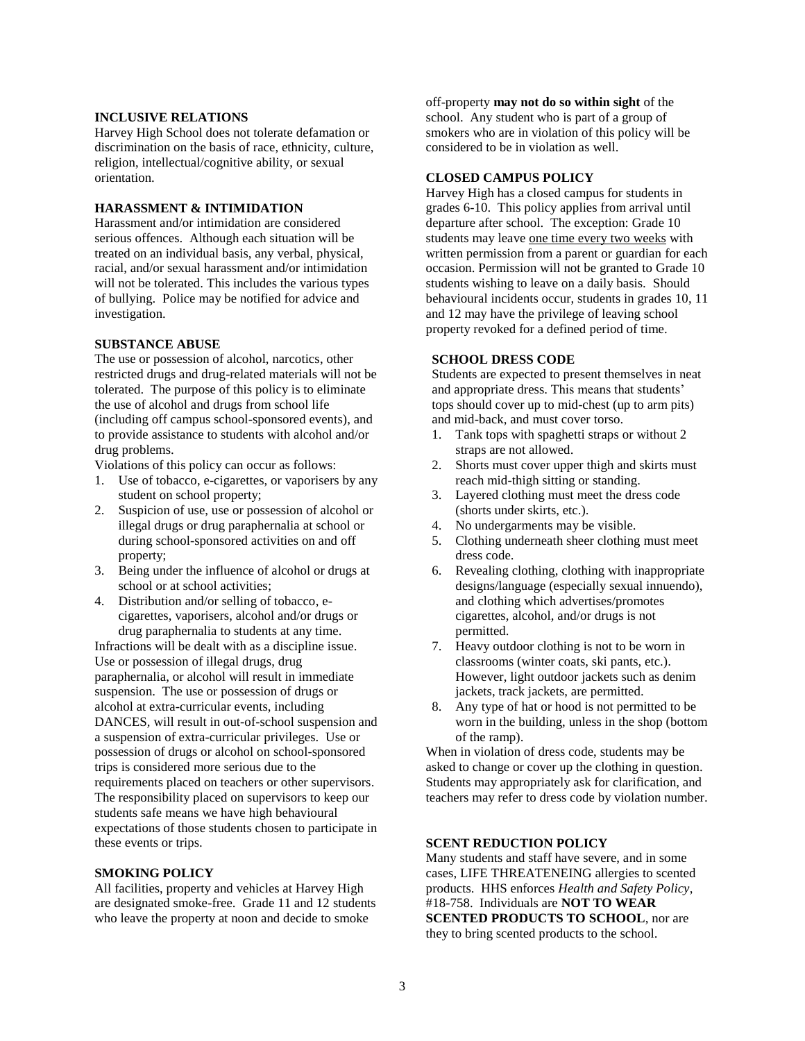### **INCLUSIVE RELATIONS**

Harvey High School does not tolerate defamation or discrimination on the basis of race, ethnicity, culture, religion, intellectual/cognitive ability, or sexual orientation.

#### **HARASSMENT & INTIMIDATION**

Harassment and/or intimidation are considered serious offences. Although each situation will be treated on an individual basis, any verbal, physical, racial, and/or sexual harassment and/or intimidation will not be tolerated. This includes the various types of bullying. Police may be notified for advice and investigation.

#### **SUBSTANCE ABUSE**

The use or possession of alcohol, narcotics, other restricted drugs and drug-related materials will not be tolerated. The purpose of this policy is to eliminate the use of alcohol and drugs from school life (including off campus school-sponsored events), and to provide assistance to students with alcohol and/or drug problems.

Violations of this policy can occur as follows:

- 1. Use of tobacco, e-cigarettes, or vaporisers by any student on school property;
- 2. Suspicion of use, use or possession of alcohol or illegal drugs or drug paraphernalia at school or during school-sponsored activities on and off property;
- 3. Being under the influence of alcohol or drugs at school or at school activities;
- 4. Distribution and/or selling of tobacco, ecigarettes, vaporisers, alcohol and/or drugs or drug paraphernalia to students at any time.

Infractions will be dealt with as a discipline issue. Use or possession of illegal drugs, drug paraphernalia, or alcohol will result in immediate suspension. The use or possession of drugs or alcohol at extra-curricular events, including DANCES*,* will result in out-of-school suspension and a suspension of extra-curricular privileges. Use or possession of drugs or alcohol on school-sponsored trips is considered more serious due to the requirements placed on teachers or other supervisors. The responsibility placed on supervisors to keep our students safe means we have high behavioural expectations of those students chosen to participate in these events or trips.

#### **SMOKING POLICY**

All facilities, property and vehicles at Harvey High are designated smoke-free. Grade 11 and 12 students who leave the property at noon and decide to smoke

off-property **may not do so within sight** of the school. Any student who is part of a group of smokers who are in violation of this policy will be considered to be in violation as well.

### **CLOSED CAMPUS POLICY**

Harvey High has a closed campus for students in grades 6-10. This policy applies from arrival until departure after school. The exception: Grade 10 students may leave one time every two weeks with written permission from a parent or guardian for each occasion. Permission will not be granted to Grade 10 students wishing to leave on a daily basis. Should behavioural incidents occur, students in grades 10, 11 and 12 may have the privilege of leaving school property revoked for a defined period of time.

#### **SCHOOL DRESS CODE**

Students are expected to present themselves in neat and appropriate dress. This means that students' tops should cover up to mid-chest (up to arm pits) and mid-back, and must cover torso.

- 1. Tank tops with spaghetti straps or without 2 straps are not allowed.
- 2. Shorts must cover upper thigh and skirts must reach mid-thigh sitting or standing.
- 3. Layered clothing must meet the dress code (shorts under skirts, etc.).
- 4. No undergarments may be visible.
- 5. Clothing underneath sheer clothing must meet dress code.
- 6. Revealing clothing, clothing with inappropriate designs/language (especially sexual innuendo), and clothing which advertises/promotes cigarettes, alcohol, and/or drugs is not permitted.
- 7. Heavy outdoor clothing is not to be worn in classrooms (winter coats, ski pants, etc.). However, light outdoor jackets such as denim jackets, track jackets, are permitted.
- 8. Any type of hat or hood is not permitted to be worn in the building, unless in the shop (bottom of the ramp).

When in violation of dress code, students may be asked to change or cover up the clothing in question. Students may appropriately ask for clarification, and teachers may refer to dress code by violation number.

#### **SCENT REDUCTION POLICY**

Many students and staff have severe, and in some cases, LIFE THREATENEING allergies to scented products. HHS enforces *Health and Safety Policy*, #18-758. Individuals are **NOT TO WEAR SCENTED PRODUCTS TO SCHOOL, nor are** they to bring scented products to the school.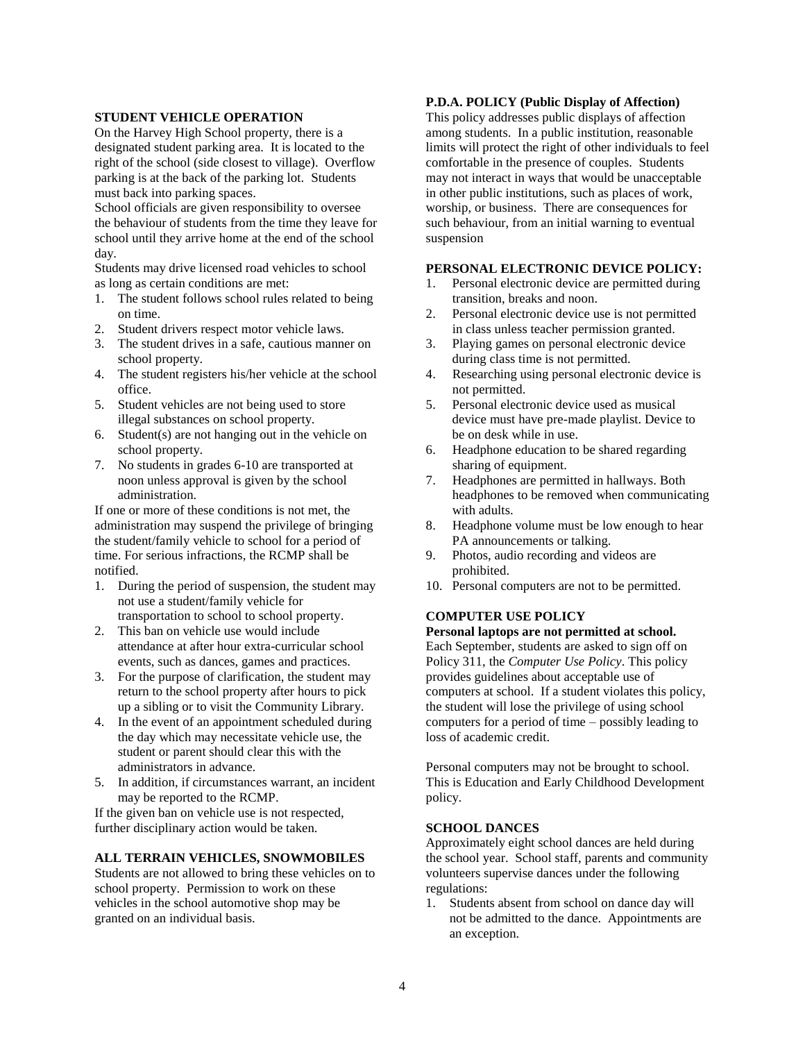#### **STUDENT VEHICLE OPERATION**

On the Harvey High School property, there is a designated student parking area. It is located to the right of the school (side closest to village). Overflow parking is at the back of the parking lot. Students must back into parking spaces.

School officials are given responsibility to oversee the behaviour of students from the time they leave for school until they arrive home at the end of the school day.

Students may drive licensed road vehicles to school as long as certain conditions are met:

- 1. The student follows school rules related to being on time.
- 2. Student drivers respect motor vehicle laws.
- 3. The student drives in a safe, cautious manner on school property.
- 4. The student registers his/her vehicle at the school office.
- 5. Student vehicles are not being used to store illegal substances on school property.
- 6. Student(s) are not hanging out in the vehicle on school property.
- 7. No students in grades 6-10 are transported at noon unless approval is given by the school administration.

If one or more of these conditions is not met, the administration may suspend the privilege of bringing the student/family vehicle to school for a period of time. For serious infractions, the RCMP shall be notified.

- 1. During the period of suspension, the student may not use a student/family vehicle for transportation to school to school property.
- 2. This ban on vehicle use would include attendance at after hour extra-curricular school events, such as dances, games and practices.
- 3. For the purpose of clarification, the student may return to the school property after hours to pick up a sibling or to visit the Community Library.
- 4. In the event of an appointment scheduled during the day which may necessitate vehicle use, the student or parent should clear this with the administrators in advance.
- 5. In addition, if circumstances warrant, an incident may be reported to the RCMP.

If the given ban on vehicle use is not respected, further disciplinary action would be taken.

## **ALL TERRAIN VEHICLES, SNOWMOBILES**

Students are not allowed to bring these vehicles on to school property. Permission to work on these vehicles in the school automotive shop may be granted on an individual basis.

### **P.D.A. POLICY (Public Display of Affection)**

This policy addresses public displays of affection among students. In a public institution, reasonable limits will protect the right of other individuals to feel comfortable in the presence of couples. Students may not interact in ways that would be unacceptable in other public institutions, such as places of work, worship, or business. There are consequences for such behaviour, from an initial warning to eventual suspension

#### **PERSONAL ELECTRONIC DEVICE POLICY:**

- 1. Personal electronic device are permitted during transition, breaks and noon.
- 2. Personal electronic device use is not permitted in class unless teacher permission granted.
- 3. Playing games on personal electronic device during class time is not permitted.
- 4. Researching using personal electronic device is not permitted.
- 5. Personal electronic device used as musical device must have pre-made playlist. Device to be on desk while in use.
- 6. Headphone education to be shared regarding sharing of equipment.
- 7. Headphones are permitted in hallways. Both headphones to be removed when communicating with adults.
- 8. Headphone volume must be low enough to hear PA announcements or talking.
- 9. Photos, audio recording and videos are prohibited.
- 10. Personal computers are not to be permitted.

### **COMPUTER USE POLICY**

#### **Personal laptops are not permitted at school.**

Each September, students are asked to sign off on Policy 311, the *Computer Use Policy*. This policy provides guidelines about acceptable use of computers at school. If a student violates this policy, the student will lose the privilege of using school computers for a period of time – possibly leading to loss of academic credit.

Personal computers may not be brought to school. This is Education and Early Childhood Development policy.

# **SCHOOL DANCES**

Approximately eight school dances are held during the school year. School staff, parents and community volunteers supervise dances under the following regulations:

1. Students absent from school on dance day will not be admitted to the dance. Appointments are an exception.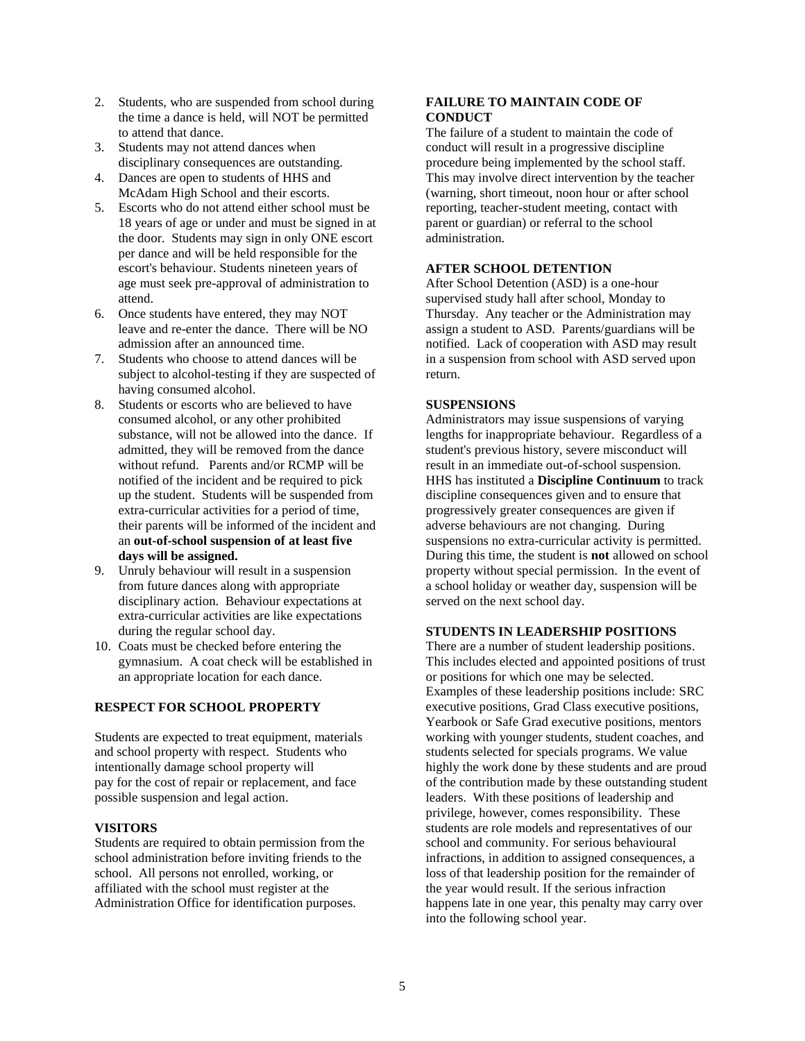- 2. Students, who are suspended from school during the time a dance is held, will NOT be permitted to attend that dance.
- 3. Students may not attend dances when disciplinary consequences are outstanding.
- 4. Dances are open to students of HHS and McAdam High School and their escorts.
- 5. Escorts who do not attend either school must be 18 years of age or under and must be signed in at the door. Students may sign in only ONE escort per dance and will be held responsible for the escort's behaviour. Students nineteen years of age must seek pre-approval of administration to attend.
- 6. Once students have entered, they may NOT leave and re-enter the dance. There will be NO admission after an announced time.
- 7. Students who choose to attend dances will be subject to alcohol-testing if they are suspected of having consumed alcohol.
- 8. Students or escorts who are believed to have consumed alcohol, or any other prohibited substance, will not be allowed into the dance. If admitted, they will be removed from the dance without refund. Parents and/or RCMP will be notified of the incident and be required to pick up the student. Students will be suspended from extra-curricular activities for a period of time, their parents will be informed of the incident and an **out-of-school suspension of at least five days will be assigned.**
- 9. Unruly behaviour will result in a suspension from future dances along with appropriate disciplinary action. Behaviour expectations at extra-curricular activities are like expectations during the regular school day.
- 10. Coats must be checked before entering the gymnasium. A coat check will be established in an appropriate location for each dance.

### **RESPECT FOR SCHOOL PROPERTY**

Students are expected to treat equipment, materials and school property with respect. Students who intentionally damage school property will pay for the cost of repair or replacement, and face possible suspension and legal action.

#### **VISITORS**

Students are required to obtain permission from the school administration before inviting friends to the school. All persons not enrolled, working, or affiliated with the school must register at the Administration Office for identification purposes.

### **FAILURE TO MAINTAIN CODE OF CONDUCT**

The failure of a student to maintain the code of conduct will result in a progressive discipline procedure being implemented by the school staff. This may involve direct intervention by the teacher (warning, short timeout, noon hour or after school reporting, teacher-student meeting, contact with parent or guardian) or referral to the school administration.

# **AFTER SCHOOL DETENTION**

After School Detention (ASD) is a one-hour supervised study hall after school, Monday to Thursday. Any teacher or the Administration may assign a student to ASD. Parents/guardians will be notified. Lack of cooperation with ASD may result in a suspension from school with ASD served upon return.

### **SUSPENSIONS**

Administrators may issue suspensions of varying lengths for inappropriate behaviour. Regardless of a student's previous history, severe misconduct will result in an immediate out-of-school suspension. HHS has instituted a **Discipline Continuum** to track discipline consequences given and to ensure that progressively greater consequences are given if adverse behaviours are not changing. During suspensions no extra-curricular activity is permitted. During this time, the student is **not** allowed on school property without special permission. In the event of a school holiday or weather day, suspension will be served on the next school day.

#### **STUDENTS IN LEADERSHIP POSITIONS**

There are a number of student leadership positions. This includes elected and appointed positions of trust or positions for which one may be selected. Examples of these leadership positions include: SRC executive positions, Grad Class executive positions, Yearbook or Safe Grad executive positions, mentors working with younger students, student coaches, and students selected for specials programs. We value highly the work done by these students and are proud of the contribution made by these outstanding student leaders. With these positions of leadership and privilege, however, comes responsibility. These students are role models and representatives of our school and community. For serious behavioural infractions, in addition to assigned consequences, a loss of that leadership position for the remainder of the year would result. If the serious infraction happens late in one year, this penalty may carry over into the following school year.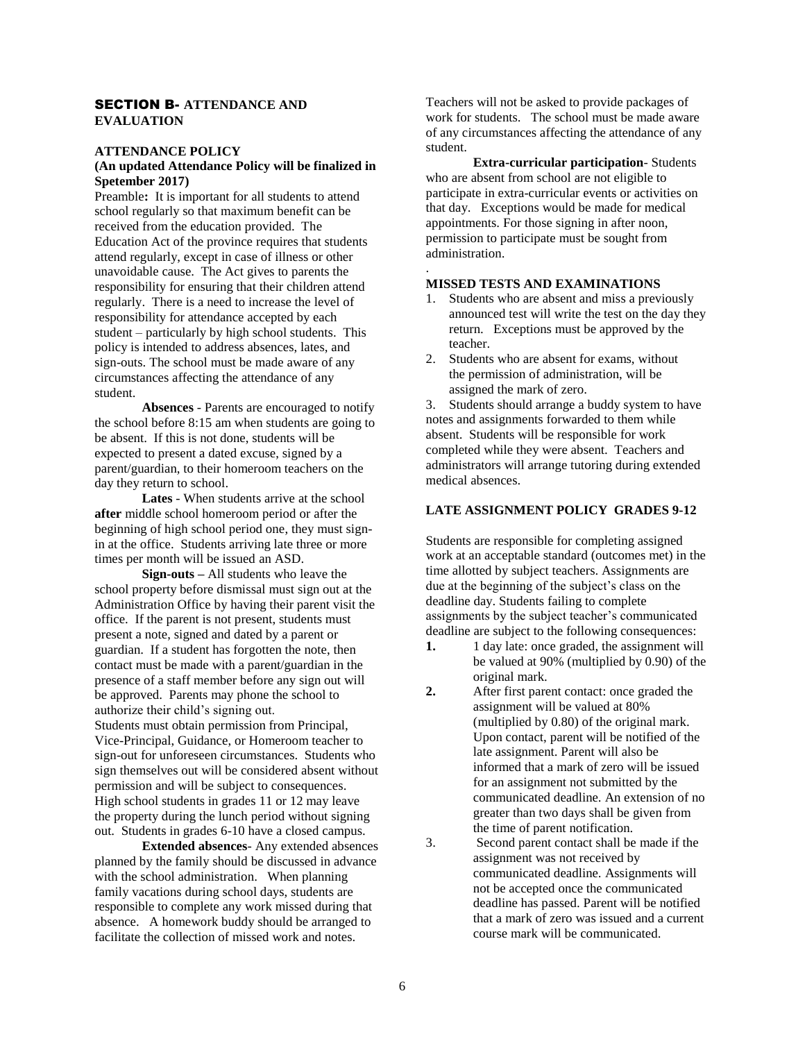### SECTION B- **ATTENDANCE AND EVALUATION**

### **ATTENDANCE POLICY**

### **(An updated Attendance Policy will be finalized in Spetember 2017)**

Preamble: It is important for all students to attend school regularly so that maximum benefit can be received from the education provided. The Education Act of the province requires that students attend regularly, except in case of illness or other unavoidable cause. The Act gives to parents the responsibility for ensuring that their children attend regularly. There is a need to increase the level of responsibility for attendance accepted by each student – particularly by high school students. This policy is intended to address absences, lates, and sign-outs. The school must be made aware of any circumstances affecting the attendance of any student.

**Absences** - Parents are encouraged to notify the school before 8:15 am when students are going to be absent. If this is not done, students will be expected to present a dated excuse, signed by a parent/guardian, to their homeroom teachers on the day they return to school.

**Lates** - When students arrive at the school **after** middle school homeroom period or after the beginning of high school period one, they must signin at the office. Students arriving late three or more times per month will be issued an ASD.

**Sign-outs –** All students who leave the school property before dismissal must sign out at the Administration Office by having their parent visit the office. If the parent is not present, students must present a note, signed and dated by a parent or guardian. If a student has forgotten the note, then contact must be made with a parent/guardian in the presence of a staff member before any sign out will be approved. Parents may phone the school to authorize their child's signing out. Students must obtain permission from Principal, Vice-Principal, Guidance, or Homeroom teacher to sign-out for unforeseen circumstances. Students who sign themselves out will be considered absent without permission and will be subject to consequences. High school students in grades 11 or 12 may leave the property during the lunch period without signing out. Students in grades 6-10 have a closed campus.

**Extended absences**- Any extended absences planned by the family should be discussed in advance with the school administration. When planning family vacations during school days, students are responsible to complete any work missed during that absence. A homework buddy should be arranged to facilitate the collection of missed work and notes.

Teachers will not be asked to provide packages of work for students. The school must be made aware of any circumstances affecting the attendance of any student.

**Extra-curricular participation**- Students who are absent from school are not eligible to participate in extra-curricular events or activities on that day. Exceptions would be made for medical appointments. For those signing in after noon, permission to participate must be sought from administration.

### **MISSED TESTS AND EXAMINATIONS**

.

- 1. Students who are absent and miss a previously announced test will write the test on the day they return. Exceptions must be approved by the teacher.
- 2. Students who are absent for exams, without the permission of administration, will be assigned the mark of zero.

3. Students should arrange a buddy system to have notes and assignments forwarded to them while absent. Students will be responsible for work completed while they were absent. Teachers and administrators will arrange tutoring during extended medical absences.

#### **LATE ASSIGNMENT POLICY GRADES 9-12**

Students are responsible for completing assigned work at an acceptable standard (outcomes met) in the time allotted by subject teachers. Assignments are due at the beginning of the subject's class on the deadline day. Students failing to complete assignments by the subject teacher's communicated deadline are subject to the following consequences:

- **1.** 1 day late: once graded, the assignment will be valued at 90% (multiplied by 0.90) of the original mark.
- **2.** After first parent contact: once graded the assignment will be valued at 80% (multiplied by 0.80) of the original mark. Upon contact, parent will be notified of the late assignment. Parent will also be informed that a mark of zero will be issued for an assignment not submitted by the communicated deadline. An extension of no greater than two days shall be given from the time of parent notification.
- 3. Second parent contact shall be made if the assignment was not received by communicated deadline. Assignments will not be accepted once the communicated deadline has passed. Parent will be notified that a mark of zero was issued and a current course mark will be communicated.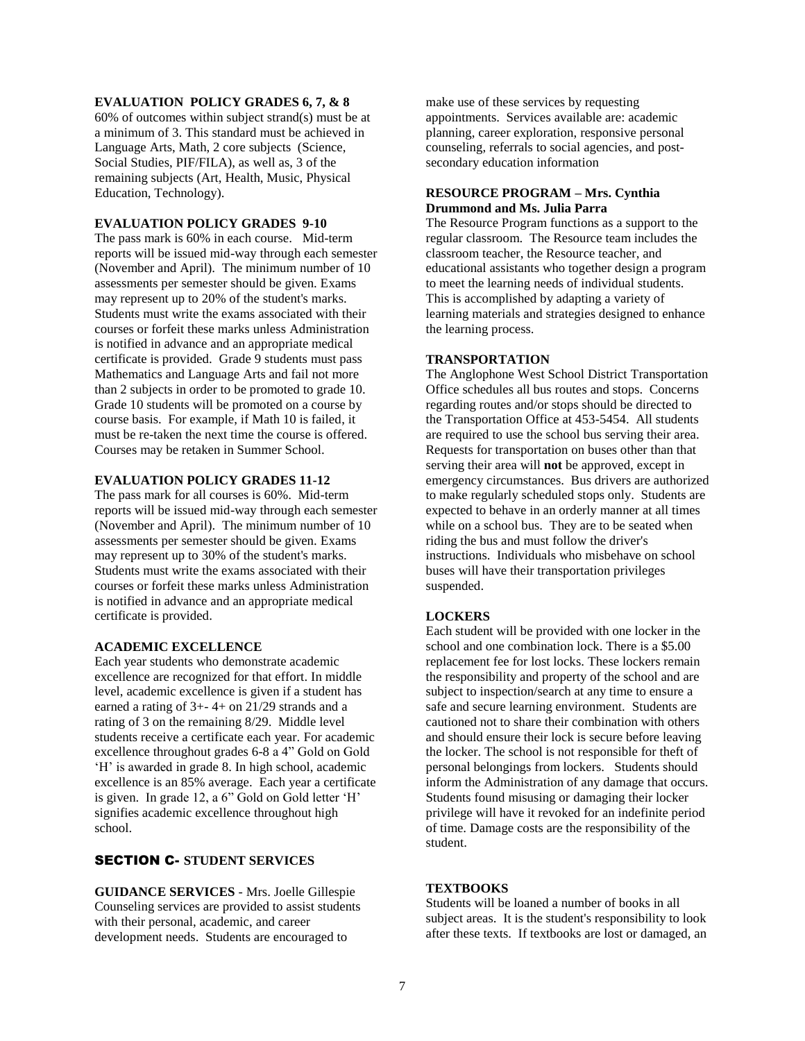#### **EVALUATION POLICY GRADES 6, 7, & 8**

60% of outcomes within subject strand(s) must be at a minimum of 3. This standard must be achieved in Language Arts, Math, 2 core subjects (Science, Social Studies, PIF/FILA), as well as, 3 of the remaining subjects (Art, Health, Music, Physical Education, Technology).

#### **EVALUATION POLICY GRADES 9-10**

The pass mark is 60% in each course. Mid-term reports will be issued mid-way through each semester (November and April). The minimum number of 10 assessments per semester should be given. Exams may represent up to 20% of the student's marks. Students must write the exams associated with their courses or forfeit these marks unless Administration is notified in advance and an appropriate medical certificate is provided. Grade 9 students must pass Mathematics and Language Arts and fail not more than 2 subjects in order to be promoted to grade 10. Grade 10 students will be promoted on a course by course basis. For example, if Math 10 is failed, it must be re-taken the next time the course is offered. Courses may be retaken in Summer School.

#### **EVALUATION POLICY GRADES 11-12**

The pass mark for all courses is 60%. Mid-term reports will be issued mid-way through each semester (November and April). The minimum number of 10 assessments per semester should be given. Exams may represent up to 30% of the student's marks. Students must write the exams associated with their courses or forfeit these marks unless Administration is notified in advance and an appropriate medical certificate is provided.

#### **ACADEMIC EXCELLENCE**

Each year students who demonstrate academic excellence are recognized for that effort. In middle level, academic excellence is given if a student has earned a rating of 3+- 4+ on 21/29 strands and a rating of 3 on the remaining 8/29. Middle level students receive a certificate each year. For academic excellence throughout grades 6-8 a 4" Gold on Gold 'H' is awarded in grade 8. In high school, academic excellence is an 85% average. Each year a certificate is given. In grade 12, a 6" Gold on Gold letter 'H' signifies academic excellence throughout high school.

# SECTION C- **STUDENT SERVICES**

**GUIDANCE SERVICES** - Mrs. Joelle Gillespie Counseling services are provided to assist students with their personal, academic, and career development needs. Students are encouraged to

make use of these services by requesting appointments. Services available are: academic planning, career exploration, responsive personal counseling, referrals to social agencies, and postsecondary education information

### **RESOURCE PROGRAM – Mrs. Cynthia Drummond and Ms. Julia Parra**

The Resource Program functions as a support to the regular classroom. The Resource team includes the classroom teacher, the Resource teacher, and educational assistants who together design a program to meet the learning needs of individual students. This is accomplished by adapting a variety of learning materials and strategies designed to enhance the learning process.

#### **TRANSPORTATION**

The Anglophone West School District Transportation Office schedules all bus routes and stops. Concerns regarding routes and/or stops should be directed to the Transportation Office at 453-5454. All students are required to use the school bus serving their area. Requests for transportation on buses other than that serving their area will **not** be approved, except in emergency circumstances. Bus drivers are authorized to make regularly scheduled stops only. Students are expected to behave in an orderly manner at all times while on a school bus. They are to be seated when riding the bus and must follow the driver's instructions. Individuals who misbehave on school buses will have their transportation privileges suspended.

### **LOCKERS**

Each student will be provided with one locker in the school and one combination lock. There is a \$5.00 replacement fee for lost locks. These lockers remain the responsibility and property of the school and are subject to inspection/search at any time to ensure a safe and secure learning environment. Students are cautioned not to share their combination with others and should ensure their lock is secure before leaving the locker. The school is not responsible for theft of personal belongings from lockers. Students should inform the Administration of any damage that occurs. Students found misusing or damaging their locker privilege will have it revoked for an indefinite period of time. Damage costs are the responsibility of the student.

### **TEXTBOOKS**

Students will be loaned a number of books in all subject areas. It is the student's responsibility to look after these texts. If textbooks are lost or damaged, an